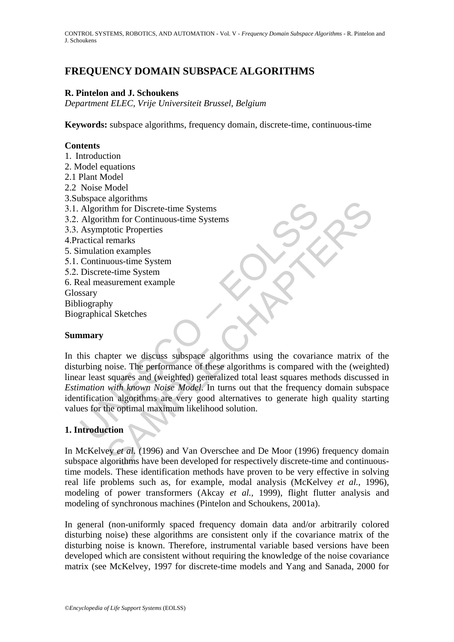# **FREQUENCY DOMAIN SUBSPACE ALGORITHMS**

## **R. Pintelon and J. Schoukens**

*Department ELEC, Vrije Universiteit Brussel, Belgium* 

**Keywords:** subspace algorithms, frequency domain, discrete-time, continuous-time

### **Contents**

- 1. Introduction
- 2. Model equations
- 2.1 Plant Model
- 2.2 Noise Model
- 3.Subspace algorithms
- 3.1. Algorithm for Discrete-time Systems
- 3.2. Algorithm for Continuous-time Systems
- 3.3. Asymptotic Properties
- 4.Practical remarks
- 5. Simulation examples
- 5.1. Continuous-time System
- 5.2. Discrete-time System
- 6. Real measurement example
- Glossary
- Bibliography
- Biographical Sketches

### **Summary**

Expect and Magnithm for Discrete-time Systems<br>
Algorithm for Discrete-time Systems<br>
Algorithm for Continuous-time Systems<br>
Asymptotic Properties<br>
actical remarks<br>
Continuous-time System<br>
Discrete-time System<br>
Discrete-time argonians<br>
argonization<br>
of the Discrete-time Systems<br>
the for Continuous-time Systems<br>
the formation<br>
on examples<br>
non examples<br>
any<br>
assurement example<br>
hy<br>
al Sketches<br>
assurement example<br>
hy<br>
al Sketches<br>
any<br>
any<br>
al In this chapter we discuss subspace algorithms using the covariance matrix of the disturbing noise. The performance of these algorithms is compared with the (weighted) linear least squares and (weighted) generalized total least squares methods discussed in *Estimation with known Noise Model*. In turns out that the frequency domain subspace identification algorithms are very good alternatives to generate high quality starting values for the optimal maximum likelihood solution.

## **1. Introduction**

In McKelvey *et al.* (1996) and Van Overschee and De Moor (1996) frequency domain subspace algorithms have been developed for respectively discrete-time and continuoustime models. These identification methods have proven to be very effective in solving real life problems such as, for example, modal analysis (McKelvey *et al.*, 1996), modeling of power transformers (Akcay *et al.,* 1999), flight flutter analysis and modeling of synchronous machines (Pintelon and Schoukens, 2001a).

In general (non-uniformly spaced frequency domain data and/or arbitrarily colored disturbing noise) these algorithms are consistent only if the covariance matrix of the disturbing noise is known. Therefore, instrumental variable based versions have been developed which are consistent without requiring the knowledge of the noise covariance matrix (see McKelvey, 1997 for discrete-time models and Yang and Sanada, 2000 for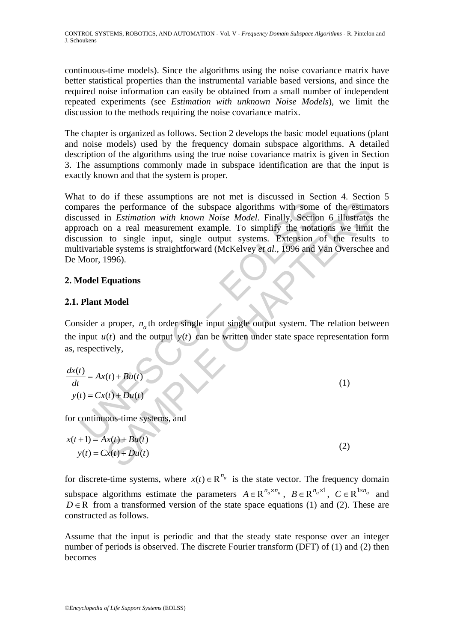continuous-time models). Since the algorithms using the noise covariance matrix have better statistical properties than the instrumental variable based versions, and since the required noise information can easily be obtained from a small number of independent repeated experiments (see *Estimation with unknown Noise Models*), we limit the discussion to the methods requiring the noise covariance matrix.

The chapter is organized as follows. Section 2 develops the basic model equations (plant and noise models) used by the frequency domain subspace algorithms. A detailed description of the algorithms using the true noise covariance matrix is given in Section 3. The assumptions commonly made in subspace identification are that the input is exactly known and that the system is proper.

pares the performance of the subspace algorithms with some<br>ussed in *Estimation with known Noise Model*. Finally, Sectio<br>coach on a real measurement example. To simplify the notat<br>usion to single input, single output syst the performance of the subspace algorithms with some of the estimation with known Noise Model. Finally, Section 6 illustrates<br>
in *Estimation with known Noise Model*. Finally, Section 6 illustrates<br>
to single input, singl What to do if these assumptions are not met is discussed in Section 4. Section 5 compares the performance of the subspace algorithms with some of the estimators discussed in *Estimation with known Noise Model*. Finally, Section 6 illustrates the approach on a real measurement example. To simplify the notations we limit the discussion to single input, single output systems. Extension of the results to multivariable systems is straightforward (McKelvey *et al.,* 1996 and Van Overschee and De Moor, 1996).

# **2. Model Equations**

# **2.1. Plant Model**

Consider a proper,  $n_a$ th order single input single output system. The relation between the input  $u(t)$  and the output  $y(t)$  can be written under state space representation form as, respectively,

$$
\frac{dx(t)}{dt} = Ax(t) + Bu(t)
$$
  
y(t) = Cx(t) + Du(t) (1)

for continuous-time systems, and

$$
x(t+1) = Ax(t) + Bu(t)
$$
  
\n
$$
y(t) = Cx(t) + Du(t)
$$
\n(2)

for discrete-time systems, where  $x(t) \in R^{n_a}$  is the state vector. The frequency domain subspace algorithms estimate the parameters  $A \in \mathbb{R}^{n_a \times n_a}$ ,  $B \in \mathbb{R}^{n_a \times 1}$ ,  $C \in \mathbb{R}^{1 \times n_a}$  and  $D \in \mathbb{R}$  from a transformed version of the state space equations (1) and (2). These are constructed as follows.

Assume that the input is periodic and that the steady state response over an integer number of periods is observed. The discrete Fourier transform (DFT) of (1) and (2) then becomes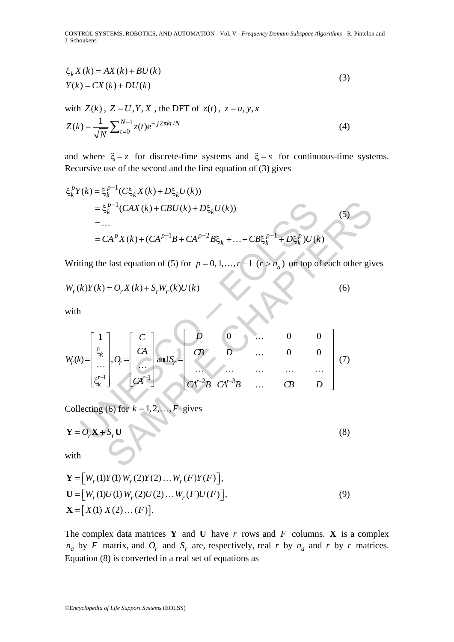$$
\xi_k X(k) = AX(k) + BU(k)
$$
  
\n
$$
Y(k) = CX(k) + DU(k)
$$
\n(3)

with 
$$
Z(k)
$$
,  $Z = U, Y, X$ , the DFT of  $z(t)$ ,  $z = u, y, x$   
\n
$$
Z(k) = \frac{1}{\sqrt{N}} \sum_{t=0}^{N-1} z(t) e^{-j2\pi kt/N}
$$
\n(4)

and where  $\xi = z$  for discrete-time systems and  $\xi = s$  for continuous-time systems. Recursive use of the second and the first equation of (3) gives

$$
\xi_k^p Y(k) = \xi_k^{p-1} (C\xi_k X(k) + D\xi_k U(k))
$$
  
=  $\xi_k^{p-1} (CAX(k) + CBU(k) + D\xi_k U(k))$   
= ...  
=  $CA^p X(k) + (CA^{p-1}B + CA^{p-2}B\xi_k + ... + CB\xi_k^{p-1} + D\xi_k^p)U(k)$  (5)

Writing the last equation of (5) for  $p = 0, 1, ..., r - 1$  ( $r > n_a$ ) on top of each other gives

$$
W_r(k)Y(k) = O_r X(k) + S_r W_r(k)U(k)
$$
\n(6)

with

$$
= \xi_k^{p-1}(CAX(k) + CBU(k) + D\xi_k U(k))
$$
  
\n
$$
= ...
$$
  
\n
$$
= CA^p X(k) + (CA^{p-1}B + CA^{p-2}B\xi_k + ... + CB\xi_k^{p-1} + D\xi_k^p)U(k)
$$
  
\nWriting the last equation of (5) for  $p = 0, 1, ..., r-1$  ( $r > n_a$ ) on top of each other give  
\n
$$
W_r(k)Y(k) = O_r X(k) + S_r W_r(k)U(k)
$$
  
\nwith  
\n
$$
W_r(k) = \begin{bmatrix} 1 \\ \xi_k \\ \vdots \\ \xi_k \end{bmatrix}, O_r = \begin{bmatrix} C \\ CA \\ \vdots \\ CA^{r-1} \end{bmatrix}
$$
 and  $S_r = \begin{bmatrix} D & 0 & ... & 0 & 0 \\ 0 & D & ... & 0 & 0 \\ ... & ... & ... & ... & ... \\ CA^{r-2}B & CA^{r-3}B & ... & CB & D \end{bmatrix}$  (7)  
\nCollecting (6) for  $k = 1, 2, ..., F$  gives  
\n
$$
Y = O_r X + S_r U
$$
 (8)  
\nwith

Collecting (6) for  $k = 1, 2, ..., F$  gives

$$
\mathbf{Y} = O_r \mathbf{X} + S_r \mathbf{U} \tag{8}
$$

with

$$
\mathbf{Y} = [W_r(1)Y(1) W_r(2)Y(2) ... W_r(F)Y(F)],
$$
  
\n
$$
\mathbf{U} = [W_r(1)U(1) W_r(2)U(2) ... W_r(F)U(F)],
$$
  
\n
$$
\mathbf{X} = [X(1) X(2) ... (F)].
$$
\n(9)

The complex data matrices **Y** and **U** have *r* rows and *F* columns. **X** is a complex  $n_a$  by *F* matrix, and  $O_r$  and  $S_r$  are, respectively, real *r* by  $n_a$  and *r* by *r* matrices. Equation (8) is converted in a real set of equations as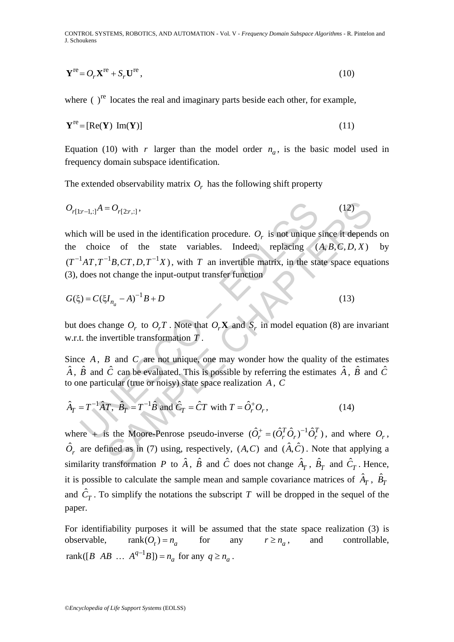$$
\mathbf{Y}^{\text{re}} = O_r \mathbf{X}^{\text{re}} + S_r \mathbf{U}^{\text{re}}\,,\tag{10}
$$

where  $\left( \ \right)$ <sup>re</sup> locates the real and imaginary parts beside each other, for example,

$$
\mathbf{Y}^{\text{re}} = [\text{Re}(\mathbf{Y}) \text{ Im}(\mathbf{Y})] \tag{11}
$$

Equation (10) with *r* larger than the model order  $n_a$ , is the basic model used in frequency domain subspace identification.

The extended observability matrix  $O_r$  has the following shift property

$$
O_{r[1:r-1,:]}A = O_{r[2:r,:]},
$$
\n(12)

 $x$ -1,:1<sup>A</sup> =  $O_{r[2r,1]}$ ,<br>
ch will be used in the identification procedure.  $O_r$  is not unique choice of the state variables. Indeed, replacing  ${}^{1}AT$ ,  $T^{-1}B$ ,  $CT$ ,  $D$ ,  $T^{-1}X$ ), with  $T$  an invertible matrix, in the  $= O_{r(2r,:)}$ , (12)<br>
be used in the identification procedure.  $O_r$  is not unique since it depend<br>
ce of the state variables. Indeed, replacing  $(A, B, C, D, X)$ <br>  $^{-1}B, CT, D, T^{-1}X$ , with T an invertible matrix, in the state space which will be used in the identification procedure.  $O<sub>r</sub>$  is not unique since it depends on the choice of the state variables. Indeed, replacing  $(A, B, C, D, X)$  by  $(T^{-1}AT, T^{-1}B, CT, D, T^{-1}X)$ , with *T* an invertible matrix, in the state space equations (3), does not change the input-output transfer function

$$
G(\xi) = C(\xi I_{n_a} - A)^{-1}B + D
$$
\n(13)

but does change  $O_r$  to  $O_rT$ . Note that  $O_rX$  and  $S_r$  in model equation (8) are invariant w.r.t. the invertible transformation *T* .

Since *A*, *B* and *C* are not unique, one may wonder how the quality of the estimates  $\hat{A}$ ,  $\hat{B}$  and  $\hat{C}$  can be evaluated. This is possible by referring the estimates  $\hat{A}$ ,  $\hat{B}$  and  $\hat{C}$ to one particular (true or noisy) state space realization *A* , *C*

$$
\hat{A}_T = T^{-1}\hat{A}T, \quad \hat{B}_T = T^{-1}\hat{B} \text{ and } \hat{C}_T = \hat{C}T \text{ with } T = \hat{O}_r^+O_r,
$$
\n(14)

where + is the Moore-Penrose pseudo-inverse  $(\hat{O}_r^+ = (\hat{O}_r^T \hat{O}_r)^{-1} \hat{O}_r^T)$ , and where  $O_r$ ,  $\hat{O}_r$  are defined as in (7) using, respectively,  $(A, C)$  and  $(\hat{A}, \hat{C})$ . Note that applying a similarity transformation *P* to  $\hat{A}$ ,  $\hat{B}$  and  $\hat{C}$  does not change  $\hat{A}_T$ ,  $\hat{B}_T$  and  $\hat{C}_T$ . Hence, it is possible to calculate the sample mean and sample covariance matrices of  $\hat{A}_T$ ,  $\hat{B}_T$ and  $\hat{C}_T$ . To simplify the notations the subscript *T* will be dropped in the sequel of the paper.

For identifiability purposes it will be assumed that the state space realization (3) is observable,  $rank(O_r) = n_a$  for any  $r \ge n_a$ , and controllable,  $rank([B \ AB \dots A^{q-1}B]) = n_a$  for any  $q \ge n_a$ .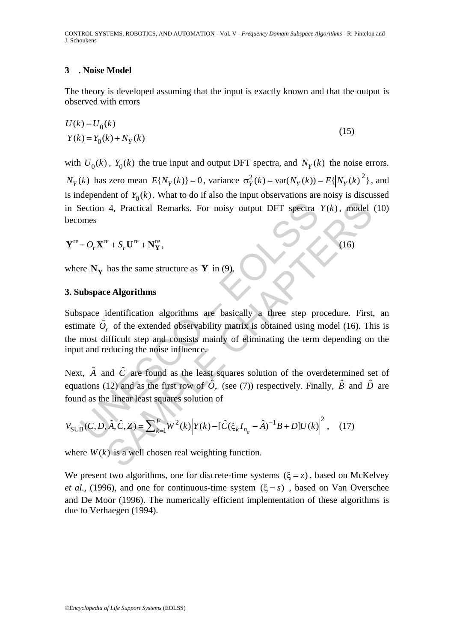#### **3 . Noise Model**

The theory is developed assuming that the input is exactly known and that the output is observed with errors

$$
U(k) = U0(k)
$$
  

$$
Y(k) = Y0(k) + NY(k)
$$
 (15)

with  $U_0(k)$ ,  $Y_0(k)$  the true input and output DFT spectra, and  $N_V(k)$  the noise errors.

 $N_Y(k)$  has zero mean  $E\{N_Y(k)\}=0$ , variance  $\sigma_Y^2(k) = \text{var}(N_Y(k)) = E\{|N_Y(k)|^2\}$ , and is independent of  $Y_0(k)$ . What to do if also the input observations are noisy is discussed in Section 4, Practical Remarks. For noisy output DFT spectra  $Y(k)$ , model (10) becomes

$$
\mathbf{Y}^{\text{re}} = O_r \mathbf{X}^{\text{re}} + S_r \mathbf{U}^{\text{re}} + \mathbf{N}^{\text{re}}_{\mathbf{Y}},\tag{16}
$$

where  $N_V$  has the same structure as Y in (9).

### **3. Subspace Algorithms**

Section 4, Practical Remarks. For noisy output DFT spectra<br>
omes<br>  $= O_r \mathbf{X}^{\text{re}} + S_r \mathbf{U}^{\text{re}} + \mathbf{N}_\mathbf{Y}^{\text{re}}$ ,<br>
re  $\mathbf{N}_\mathbf{Y}$  has the same structure as **Y** in (9).<br> **ubspace Algorithms**<br>
space identification a 4, Practical Remarks. For noisy output DFT spectra  $Y(k)$ , model<br>  $e^x + S_r U^{re} + N_f^{re}$ ,<br>
has the same structure as **Y** in (9).<br>
Le **Algorithms**<br>
identification algorithms are basically a three step procedure. First,<br>  $\gamma$ , o Subspace identification algorithms are basically a three step procedure. First, an estimate  $\hat{O}_r$  of the extended observability matrix is obtained using model (16). This is the most difficult step and consists mainly of eliminating the term depending on the input and reducing the noise influence.

Next,  $\hat{A}$  and  $\hat{C}$  are found as the least squares solution of the overdetermined set of equations (12) and as the first row of  $\hat{O}_r$  (see (7)) respectively. Finally,  $\hat{B}$  and  $\hat{D}$  are found as the linear least squares solution of

$$
V_{\text{SUB}}(C, D, \hat{A}, \hat{C}, Z) = \sum_{k=1}^{F} W^2(k) \left| Y(k) - [\hat{C}(\xi_k I_{n_a} - \hat{A})^{-1} B + D] U(k) \right|^2, \quad (17)
$$

where  $W(k)$  is a well chosen real weighting function.

We present two algorithms, one for discrete-time systems  $(\xi = z)$ , based on McKelvey *et al.*, (1996), and one for continuous-time system  $(\xi = s)$ , based on Van Overschee and De Moor (1996). The numerically efficient implementation of these algorithms is due to Verhaegen (1994).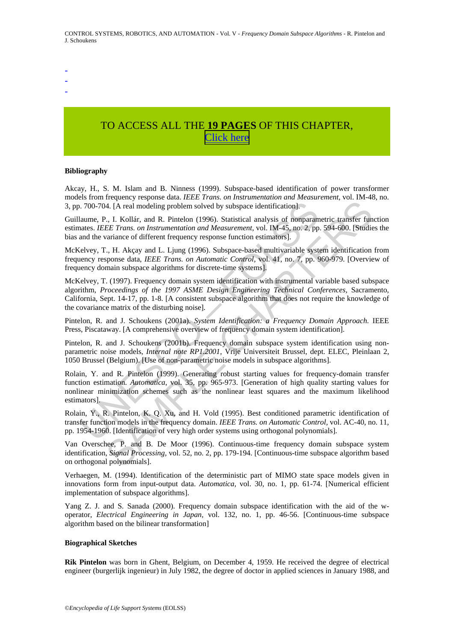- -

-

# TO ACCESS ALL THE **19 PAGES** OF THIS CHAPTER, [C](https://www.eolss.net/ebooklib/sc_cart.aspx?File=E6-43-08-03)[lick here](http://www.eolss.net/Eolss-sampleAllChapter.aspx)

#### **Bibliography**

Akcay, H., S. M. Islam and B. Ninness (1999). Subspace-based identification of power transformer models from frequency response data. *IEEE Trans. on Instrumentation and Measurement,* vol. IM-48, no. 3, pp. 700-704. [A real modeling problem solved by subspace identification].

Guillaume, P., I. Kollár, and R. Pintelon (1996). Statistical analysis of nonparametric transfer function estimates. *IEEE Trans. on Instrumentation and Measurement,* vol. IM-45, no. 2, pp. 594-600. [Studies the bias and the variance of different frequency response function estimators].

McKelvey, T., H. Akçay and L. Ljung (1996). Subspace-based multivariable system identification from frequency response data, *IEEE Trans. on Automatic Control,* vol. 41, no. 7, pp. 960-979. [Overview of frequency domain subspace algorithms for discrete-time systems].

. 700-704. [A real modeling problem solved by subspace identification].<br>
laume, P., I. Kollár, and R. Pintelon (1996). Statistical analysis of nonparam<br>
atates. *IEEE Trans. on Instrumentation and Measurement*, vol. IM-45 At [A real modeling problem solved by subspace identification].<br>
44. [A real modeling problem solved by subspace identification].<br>
44. [A real modeling problem solved by subspace identification].<br>
44. [A real modeling pro McKelvey, T. (1997). Frequency domain system identification with instrumental variable based subspace algorithm, *Proceedings of the 1997 ASME Design Engineering Technical Conferences,* Sacramento, California, Sept. 14-17, pp. 1-8. [A consistent subspace algorithm that does not require the knowledge of the covariance matrix of the disturbing noise].

Pintelon, R. and J. Schoukens (2001a). *System Identification: a Frequency Domain Approach.* IEEE Press, Piscataway. [A comprehensive overview of frequency domain system identification].

Pintelon, R. and J. Schoukens (2001b). Frequency domain subspace system identification using nonparametric noise models, *Internal note RP1.2001,* Vrije Universiteit Brussel, dept. ELEC, Pleinlaan 2, 1050 Brussel (Belgium). [Use of non-parametric noise models in subspace algorithms].

Rolain, Y. and R. Pintelon (1999). Generating robust starting values for frequency-domain transfer function estimation. *Automatica*, vol. 35, pp. 965-973. [Generation of high quality starting values for nonlinear minimization schemes such as the nonlinear least squares and the maximum likelihood estimators].

Rolain, Y., R. Pintelon, K. Q. Xu, and H. Vold (1995). Best conditioned parametric identification of transfer function models in the frequency domain. *IEEE Trans. on Automatic Control,* vol. AC-40, no. 11, pp. 1954-1960. [Identification of very high order systems using orthogonal polynomials].

Van Overschee, P. and B. De Moor (1996). Continuous-time frequency domain subspace system identification, *Signal Processing,* vol. 52, no. 2, pp. 179-194. [Continuous-time subspace algorithm based on orthogonal polynomials].

Verhaegen, M. (1994). Identification of the deterministic part of MIMO state space models given in innovations form from input-output data. *Automatica,* vol. 30, no. 1, pp. 61-74. [Numerical efficient implementation of subspace algorithms].

Yang Z. J. and S. Sanada (2000). Frequency domain subspace identification with the aid of the woperator, *Electrical Engineering in Japan,* vol. 132, no. 1, pp. 46-56. [Continuous-time subspace algorithm based on the bilinear transformation]

#### **Biographical Sketches**

**Rik Pintelon** was born in Ghent, Belgium, on December 4, 1959. He received the degree of electrical engineer (burgerlijk ingenieur) in July 1982, the degree of doctor in applied sciences in January 1988, and